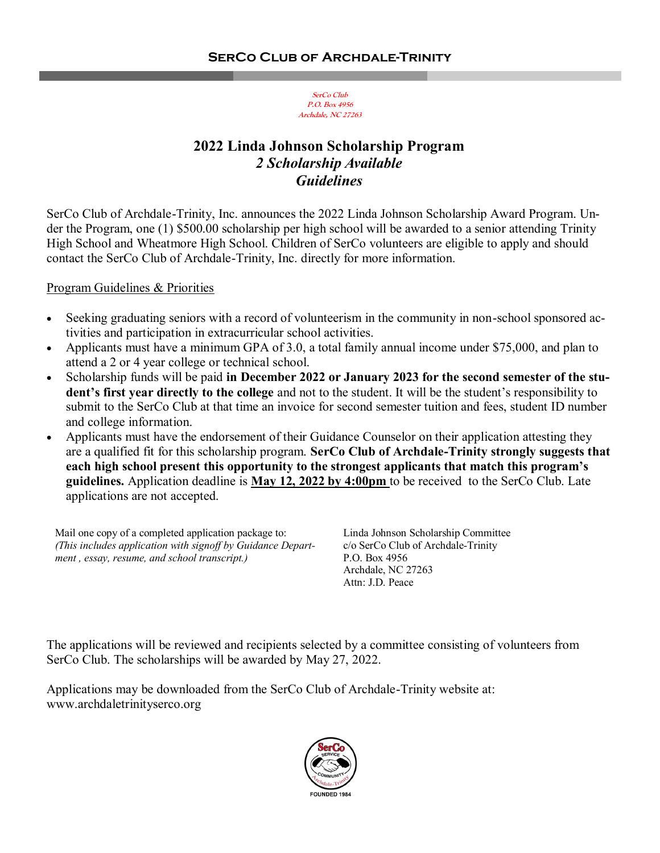# **2022 Linda Johnson Scholarship Program** *2 Scholarship Available Guidelines*

SerCo Club of Archdale-Trinity, Inc. announces the 2022 Linda Johnson Scholarship Award Program. Under the Program, one (1) \$500.00 scholarship per high school will be awarded to a senior attending Trinity High School and Wheatmore High School. Children of SerCo volunteers are eligible to apply and should contact the SerCo Club of Archdale-Trinity, Inc. directly for more information.

#### Program Guidelines & Priorities

- Seeking graduating seniors with a record of volunteerism in the community in non-school sponsored activities and participation in extracurricular school activities.
- Applicants must have a minimum GPA of 3.0, a total family annual income under \$75,000, and plan to attend a 2 or 4 year college or technical school.
- Scholarship funds will be paid **in December 2022 or January 2023 for the second semester of the student's first year directly to the college** and not to the student. It will be the student's responsibility to submit to the SerCo Club at that time an invoice for second semester tuition and fees, student ID number and college information.
- Applicants must have the endorsement of their Guidance Counselor on their application attesting they are a qualified fit for this scholarship program. **SerCo Club of Archdale-Trinity strongly suggests that each high school present this opportunity to the strongest applicants that match this program's guidelines.** Application deadline is **May 12, 2022 by 4:00pm** to be received to the SerCo Club. Late applications are not accepted.

Mail one copy of a completed application package to: *(This includes application with signoff by Guidance Department , essay, resume, and school transcript.)*

Linda Johnson Scholarship Committee c/o SerCo Club of Archdale-Trinity P.O. Box 4956 Archdale, NC 27263 Attn: J.D. Peace

The applications will be reviewed and recipients selected by a committee consisting of volunteers from SerCo Club. The scholarships will be awarded by May 27, 2022.

Applications may be downloaded from the SerCo Club of Archdale-Trinity website at: www.archdaletrinityserco.org

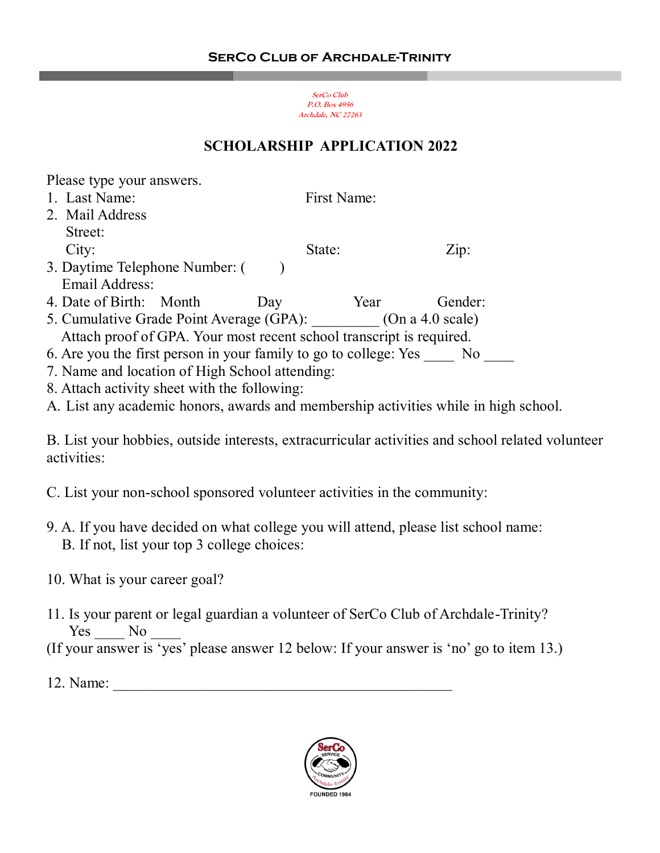## **SCHOLARSHIP APPLICATION 2022**

Please type your answers.

- 1. Last Name: First Name: 2. Mail Address Street: City: State: State: Zip: 3. Daytime Telephone Number: () Email Address: 4. Date of Birth: Month Day Year Gender: 5. Cumulative Grade Point Average (GPA): (On a 4.0 scale) Attach proof of GPA. Your most recent school transcript is required.
- 6. Are you the first person in your family to go to college: Yes No
- 7. Name and location of High School attending:
- 8. Attach activity sheet with the following:
- A. List any academic honors, awards and membership activities while in high school.

B. List your hobbies, outside interests, extracurricular activities and school related volunteer activities:

- C. List your non-school sponsored volunteer activities in the community:
- 9. A. If you have decided on what college you will attend, please list school name: B. If not, list your top 3 college choices:
- 10. What is your career goal?
- 11. Is your parent or legal guardian a volunteer of SerCo Club of Archdale-Trinity? Yes No
- (If your answer is 'yes' please answer 12 below: If your answer is 'no' go to item 13.)
- $12.$  Name:

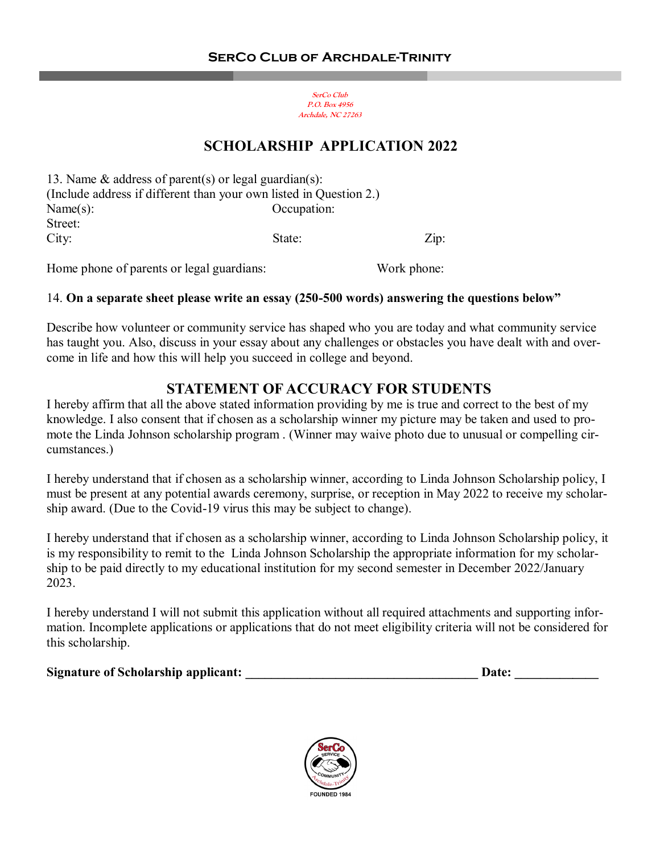#### **SCHOLARSHIP APPLICATION 2022**

| 13. Name $\&$ address of parent(s) or legal guardian(s):           |             |                    |
|--------------------------------------------------------------------|-------------|--------------------|
| (Include address if different than your own listed in Question 2.) |             |                    |
| Name(s):                                                           | Occupation: |                    |
| Street:                                                            |             |                    |
| City:                                                              | State:      | $\overline{L}$ ip: |
|                                                                    |             |                    |

Home phone of parents or legal guardians: Work phone:

#### 14. **On a separate sheet please write an essay (250-500 words) answering the questions below"**

Describe how volunteer or community service has shaped who you are today and what community service has taught you. Also, discuss in your essay about any challenges or obstacles you have dealt with and overcome in life and how this will help you succeed in college and beyond.

### **STATEMENT OF ACCURACY FOR STUDENTS**

I hereby affirm that all the above stated information providing by me is true and correct to the best of my knowledge. I also consent that if chosen as a scholarship winner my picture may be taken and used to promote the Linda Johnson scholarship program . (Winner may waive photo due to unusual or compelling circumstances.)

I hereby understand that if chosen as a scholarship winner, according to Linda Johnson Scholarship policy, I must be present at any potential awards ceremony, surprise, or reception in May 2022 to receive my scholarship award. (Due to the Covid-19 virus this may be subject to change).

I hereby understand that if chosen as a scholarship winner, according to Linda Johnson Scholarship policy, it is my responsibility to remit to the Linda Johnson Scholarship the appropriate information for my scholarship to be paid directly to my educational institution for my second semester in December 2022/January 2023.

I hereby understand I will not submit this application without all required attachments and supporting information. Incomplete applications or applications that do not meet eligibility criteria will not be considered for this scholarship.

Signature of Scholarship applicant: **Example 2018** and 2018 and 2018 and 2018 and 2018 and 2018 and 2018 and 2018 and 2018 and 2018 and 2018 and 2018 and 2018 and 2018 and 2018 and 2018 and 2018 and 2018 and 2018 and 2018